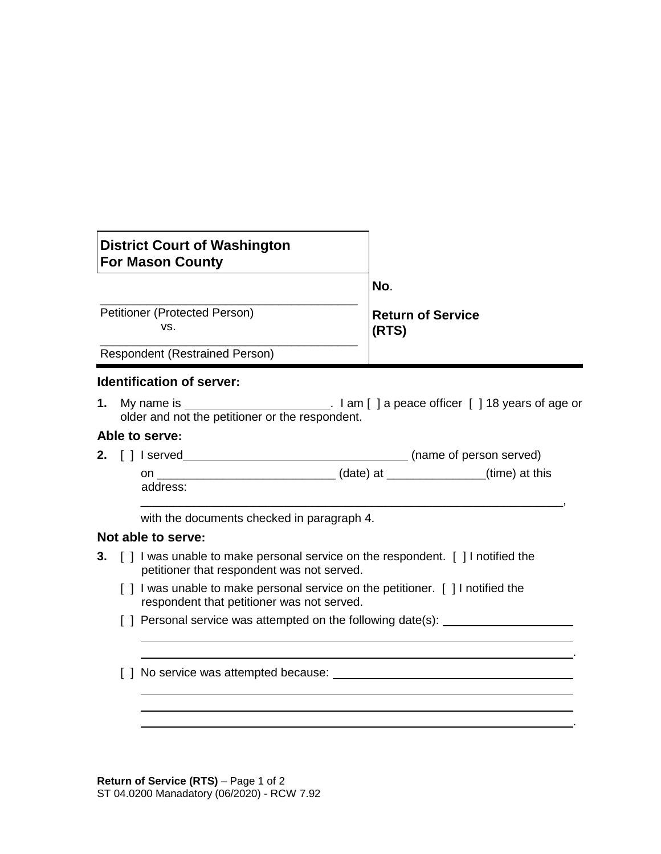| <b>District Court of Washington</b><br><b>For Mason County</b> |                                   |
|----------------------------------------------------------------|-----------------------------------|
|                                                                | No.                               |
| Petitioner (Protected Person)<br>VS.                           | <b>Return of Service</b><br>(RTS) |
| Respondent (Restrained Person)                                 |                                   |

### **Identification of server:**

**1.** My name is **intercal contract and in the latter of the latter of age of the latter of age of age or** older and not the petitioner or the respondent.

\_\_\_\_\_\_\_\_\_\_\_\_\_\_\_\_\_\_\_\_\_\_\_\_\_\_\_\_\_\_\_\_\_\_\_\_\_\_\_\_\_\_\_\_\_\_\_\_\_\_\_\_\_\_\_\_\_\_\_\_\_\_\_\_,

.

.

#### **Able to serve:**

**2.** [ ] I served **(i)**  $\left( \text{name of person served} \right)$ on \_\_\_\_\_\_\_\_\_\_\_\_\_\_\_\_\_\_\_\_\_\_\_\_\_\_\_ (date) at \_\_\_\_\_\_\_\_\_\_\_\_\_\_\_(time) at this address:

with the documents checked in paragraph 4.

### **Not able to serve:**

- **3.** [ ] I was unable to make personal service on the respondent. [ ] I notified the petitioner that respondent was not served.
	- [] I was unable to make personal service on the petitioner. [] I notified the respondent that petitioner was not served.
	- [ ] Personal service was attempted on the following date(s): \_\_\_\_\_\_\_\_\_\_\_\_\_\_\_\_\_\_\_
	- [ ] No service was attempted because:

**Return of Service (RTS)** – Page 1 of 2 ST 04.0200 Manadatory (06/2020) - RCW 7.92